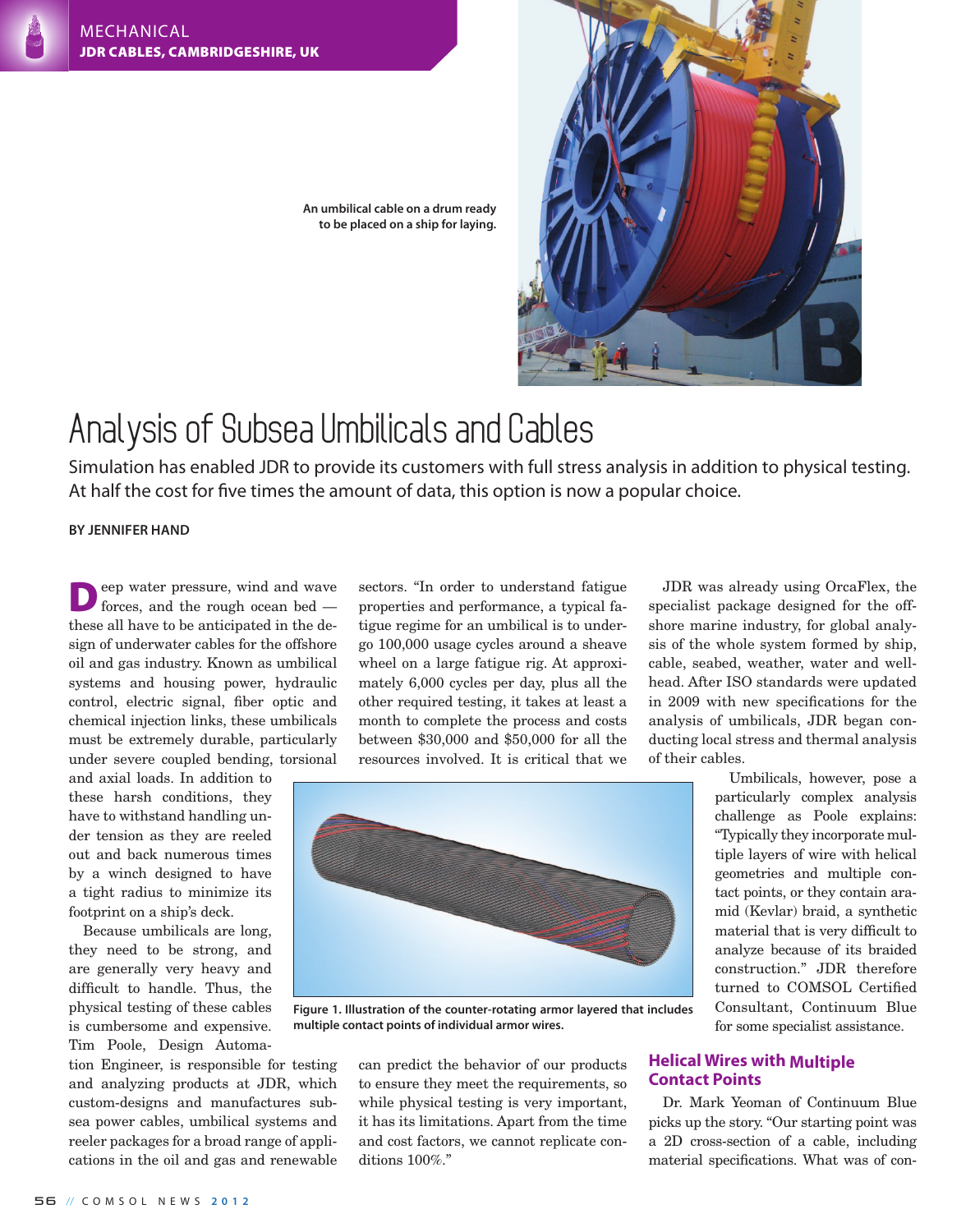

**An umbilical cable on a drum ready to be placed on a ship for laying.**

## Analysis of Subsea Umbilicals and Cables

Simulation has enabled JDR to provide its customers with full stress analysis in addition to physical testing. At half the cost for five times the amount of data, this option is now a popular choice.

**By Jennifer Hand**

Deep water pressure, wind and wave forces, and the rough ocean bed these all have to be anticipated in the design of underwater cables for the offshore oil and gas industry. Known as umbilical systems and housing power, hydraulic control, electric signal, fiber optic and chemical injection links, these umbilicals must be extremely durable, particularly under severe coupled bending, torsional

and axial loads. In addition to these harsh conditions, they have to withstand handling under tension as they are reeled out and back numerous times by a winch designed to have a tight radius to minimize its footprint on a ship's deck.

Because umbilicals are long, they need to be strong, and are generally very heavy and difficult to handle. Thus, the physical testing of these cables is cumbersome and expensive. Tim Poole, Design Automa-

tion Engineer, is responsible for testing and analyzing products at JDR, which custom-designs and manufactures subsea power cables, umbilical systems and reeler packages for a broad range of applications in the oil and gas and renewable

sectors. "In order to understand fatigue properties and performance, a typical fatigue regime for an umbilical is to undergo 100,000 usage cycles around a sheave wheel on a large fatigue rig. At approximately 6,000 cycles per day, plus all the other required testing, it takes at least a month to complete the process and costs between \$30,000 and \$50,000 for all the resources involved. It is critical that we

JDR was already using OrcaFlex, the specialist package designed for the offshore marine industry, for global analysis of the whole system formed by ship, cable, seabed, weather, water and wellhead. After ISO standards were updated in 2009 with new specifications for the analysis of umbilicals, JDR began conducting local stress and thermal analysis of their cables.



**Figure 1. Illustration of the counter-rotating armor layered that includes multiple contact points of individual armor wires.**

can predict the behavior of our products to ensure they meet the requirements, so while physical testing is very important, it has its limitations. Apart from the time and cost factors, we cannot replicate conditions 100%."

Umbilicals, however, pose a particularly complex analysis challenge as Poole explains: "Typically they incorporate multiple layers of wire with helical geometries and multiple contact points, or they contain aramid (Kevlar) braid, a synthetic material that is very difficult to analyze because of its braided construction." JDR therefore turned to COMSOL Certified Consultant, Continuum Blue for some specialist assistance.

## **Helical Wires with Multiple Contact Points**

Dr. Mark Yeoman of Continuum Blue picks up the story. "Our starting point was a 2D cross-section of a cable, including material specifications. What was of con-